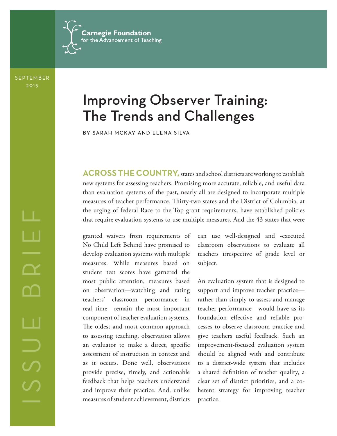

SEPTEMBER 2015

# Improving Observer Training: The Trends and Challenges

BY SARAH MCKAY AND ELENA SILVA

**ACROSS THE COUNTRY,** states and school districts are working to establish new systems for assessing teachers. Promising more accurate, reliable, and useful data than evaluation systems of the past, nearly all are designed to incorporate multiple measures of teacher performance. Thirty-two states and the District of Columbia, at the urging of federal Race to the Top grant requirements, have established policies that require evaluation systems to use multiple measures. And the 43 states that were

granted waivers from requirements of No Child Left Behind have promised to develop evaluation systems with multiple measures. While measures based on student test scores have garnered the most public attention, measures based on observation—watching and rating teachers' classroom performance in real time—remain the most important component of teacher evaluation systems. The oldest and most common approach to assessing teaching, observation allows an evaluator to make a direct, specific assessment of instruction in context and as it occurs. Done well, observations provide precise, timely, and actionable feedback that helps teachers understand and improve their practice. And, unlike measures of student achievement, districts

can use well-designed and -executed classroom observations to evaluate all teachers irrespective of grade level or subject.

An evaluation system that is designed to support and improve teacher practice rather than simply to assess and manage teacher performance—would have as its foundation effective and reliable processes to observe classroom practice and give teachers useful feedback. Such an improvement-focused evaluation system should be aligned with and contribute to a district-wide system that includes a shared definition of teacher quality, a clear set of district priorities, and a coherent strategy for improving teacher practice.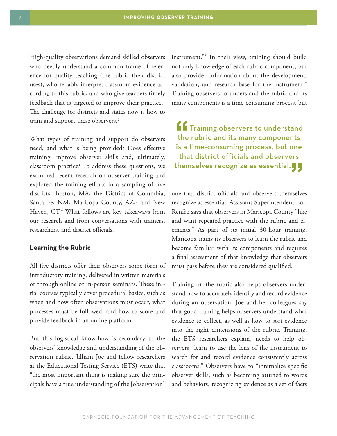High-quality observations demand skilled observers who deeply understand a common frame of reference for quality teaching (the rubric their district uses), who reliably interpret classroom evidence according to this rubric, and who give teachers timely feedback that is targeted to improve their practice.<sup>1</sup> The challenge for districts and states now is how to train and support these observers.<sup>2</sup>

What types of training and support do observers need, and what is being provided? Does effective training improve observer skills and, ultimately, classroom practice? To address these questions, we examined recent research on observer training and explored the training efforts in a sampling of five districts: Boston, MA, the District of Columbia, Santa Fe, NM, Maricopa County, AZ,<sup>3</sup> and New Haven, CT.4 What follows are key takeaways from our research and from conversations with trainers, researchers, and district officials.

#### **Learning the Rubric**

All five districts offer their observers some form of introductory training, delivered in written materials or through online or in-person seminars. These initial courses typically cover procedural basics, such as when and how often observations must occur, what processes must be followed, and how to score and provide feedback in an online platform.

But this logistical know-how is secondary to the observers' knowledge and understanding of the observation rubric. Jilliam Joe and fellow researchers at the Educational Testing Service (ETS) write that "the most important thing is making sure the principals have a true understanding of the [observation]

instrument."5 In their view, training should build not only knowledge of each rubric component, but also provide "information about the development, validation, and research base for the instrument." Training observers to understand the rubric and its many components is a time-consuming process, but

ff Training observers to understand the rubric and its many components is a time-consuming process, but one that district officials and observers themselves recognize as essential. $\blacksquare$ 

one that district officials and observers themselves recognize as essential. Assistant Superintendent Lori Renfro says that observers in Maricopa County "like and want repeated practice with the rubric and elements." As part of its initial 30-hour training, Maricopa trains its observers to learn the rubric and become familiar with its components and requires a final assessment of that knowledge that observers must pass before they are considered qualified.

Training on the rubric also helps observers understand how to accurately identify and record evidence during an observation. Joe and her colleagues say that good training helps observers understand what evidence to collect, as well as how to sort evidence into the right dimensions of the rubric. Training, the ETS researchers explain, needs to help observers "learn to use the lens of the instrument to search for and record evidence consistently across classrooms." Observers have to "internalize specific observer skills, such as becoming attuned to words and behaviors, recognizing evidence as a set of facts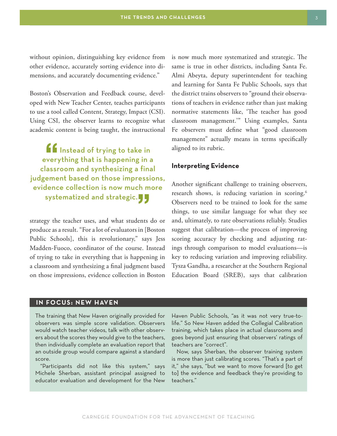without opinion, distinguishing key evidence from other evidence, accurately sorting evidence into dimensions, and accurately documenting evidence."

Boston's Observation and Feedback course, developed with New Teacher Center, teaches participants to use a tool called Content, Strategy, Impact (CSI). Using CSI, the observer learns to recognize what academic content is being taught, the instructional

If Instead of trying to take in everything that is happening in a classroom and synthesizing a final judgement based on those impressions, evidence collection is now much more systematized and strategic.

strategy the teacher uses, and what students do or produce as a result. "For a lot of evaluators in [Boston Public Schools], this is revolutionary," says Jess Madden-Fuoco, coordinator of the course. Instead of trying to take in everything that is happening in a classroom and synthesizing a final judgment based on those impressions, evidence collection in Boston is now much more systematized and strategic. The same is true in other districts, including Santa Fe. Almi Abeyta, deputy superintendent for teaching and learning for Santa Fe Public Schools, says that the district trains observers to "ground their observations of teachers in evidence rather than just making normative statements like, 'The teacher has good classroom management.'" Using examples, Santa Fe observers must define what "good classroom management" actually means in terms specifically aligned to its rubric.

### **Interpreting Evidence**

Another significant challenge to training observers, research shows, is reducing variation in scoring.<sup>6</sup> Observers need to be trained to look for the same things, to use similar language for what they see and, ultimately, to rate observations reliably. Studies suggest that calibration—the process of improving scoring accuracy by checking and adjusting ratings through comparison to model evaluations—is key to reducing variation and improving reliability. Tysza Gandha, a researcher at the Southern Regional Education Board (SREB), says that calibration

### **IN FOCUS: NEW HAVEN**

The training that New Haven originally provided for observers was simple score validation. Observers would watch teacher videos, talk with other observers about the scores they would give to the teachers, then individually complete an evaluation report that an outside group would compare against a standard score.

"Participants did not like this system," says Michele Sherban, assistant principal assigned to educator evaluation and development for the New

Haven Public Schools, "as it was not very true-tolife." So New Haven added the Collegial Calibration training, which takes place in actual classrooms and goes beyond just ensuring that observers' ratings of teachers are "correct".

Now, says Sherban, the observer training system is more than just calibrating scores. "That's a part of it," she says, "but we want to move forward [to get to] the evidence and feedback they're providing to teachers."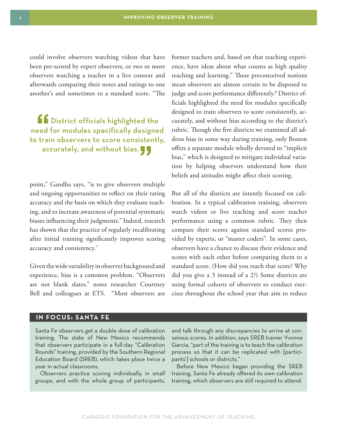could involve observers watching videos that have been pre-scored by expert observers, or two or more observers watching a teacher in a live context and afterwards comparing their notes and ratings to one another's and sometimes to a standard score. "The

ff District officials highlighted the need for modules specifically designed to train observers to score consistently, accurately, and without bias.  $\blacksquare$ 

point," Gandha says, "is to give observers multiple and ongoing opportunities to reflect on their rating accuracy and the basis on which they evaluate teaching, and to increase awareness of potential systematic biases influencing their judgments." Indeed, research has shown that the practice of regularly recalibrating after initial training significantly improves scoring accuracy and consistency.7

Given the wide variability in observer background and experience, bias is a common problem. "Observers are not blank slates," notes researcher Courtney Bell and colleagues at ETS. "Most observers are

former teachers and, based on that teaching experience, have ideas about what counts as high quality teaching and learning." These preconceived notions mean observers are almost certain to be disposed to judge and score performance differently.8 District officials highlighted the need for modules specifically designed to train observers to score consistently, accurately, and without bias according to the district's rubric. Though the five districts we examined all address bias in some way during training, only Boston offers a separate module wholly devoted to "implicit bias," which is designed to mitigate individual variation by helping observers understand how their beliefs and attitudes might affect their scoring.

But all of the districts are intently focused on calibration. In a typical calibration training, observers watch videos or live teaching and score teacher performance using a common rubric. They then compare their scores against standard scores provided by experts, or "master coders". In some cases, observers have a chance to discuss their evidence and scores with each other before comparing them to a standard score. (How did you reach that score? Why did you give a 3 instead of a 2?) Some districts are using formal cohorts of observers to conduct exercises throughout the school year that aim to reduce

### **IN FOCUS: SANTA FE**

Santa Fe observers get a double dose of calibration training. The state of New Mexico recommends that observers participate in a full-day "Calibration Rounds" training, provided by the Southern Regional Education Board (SREB), which takes place twice a year in actual classrooms.

Observers practice scoring individually, in small groups, and with the whole group of participants, and talk through any discrepancies to arrive at consensus scores. In addition, says SREB trainer Yvonne Garcia, "part of the training is to teach the calibration process so that it can be replicated with [participants'] schools or districts."

Before New Mexico began providing the SREB training, Santa Fe already offered its own calibration training, which observers are still required to attend.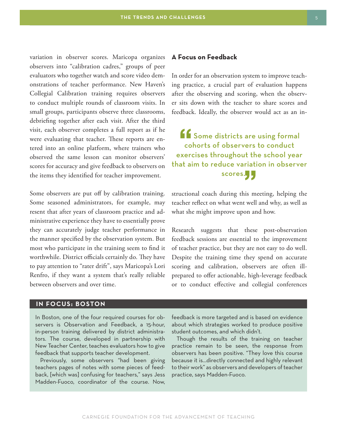variation in observer scores. Maricopa organizes observers into "calibration cadres," groups of peer evaluators who together watch and score video demonstrations of teacher performance. New Haven's Collegial Calibration training requires observers to conduct multiple rounds of classroom visits. In small groups, participants observe three classrooms, debriefing together after each visit. After the third visit, each observer completes a full report as if he were evaluating that teacher. These reports are entered into an online platform, where trainers who observed the same lesson can monitor observers' scores for accuracy and give feedback to observers on the items they identified for teacher improvement.

Some observers are put off by calibration training. Some seasoned administrators, for example, may resent that after years of classroom practice and administrative experience they have to essentially prove they can accurately judge teacher performance in the manner specified by the observation system. But most who participate in the training seem to find it worthwhile. District officials certainly do. They have to pay attention to "rater drift", says Maricopa's Lori Renfro, if they want a system that's really reliable between observers and over time.

### **IN FOCUS: BOSTON**

In Boston, one of the four required courses for observers is Observation and Feedback, a 15-hour, in-person training delivered by district administrators. The course, developed in partnership with New Teacher Center, teaches evaluators how to give feedback that supports teacher development.

Previously, some observers "had been giving teachers pages of notes with some pieces of feedback, [which was] confusing for teachers," says Jess Madden-Fuoco, coordinator of the course. Now,

### **A Focus on Feedback**

In order for an observation system to improve teaching practice, a crucial part of evaluation happens after the observing and scoring, when the observer sits down with the teacher to share scores and feedback. Ideally, the observer would act as an in-

ff Some districts are using formal cohorts of observers to conduct exercises throughout the school year that aim to reduce variation in observer scores.<mark>)</mark><br>luring this me

structional coach during this meeting, helping the teacher reflect on what went well and why, as well as what she might improve upon and how.

Research suggests that these post-observation feedback sessions are essential to the improvement of teacher practice, but they are not easy to do well. Despite the training time they spend on accurate scoring and calibration, observers are often illprepared to offer actionable, high-leverage feedback or to conduct effective and collegial conferences

feedback is more targeted and is based on evidence about which strategies worked to produce positive student outcomes, and which didn't.

Though the results of the training on teacher practice remain to be seen, the response from observers has been positive. "They love this course because it is…directly connected and highly relevant to their work" as observers and developers of teacher practice, says Madden-Fuoco.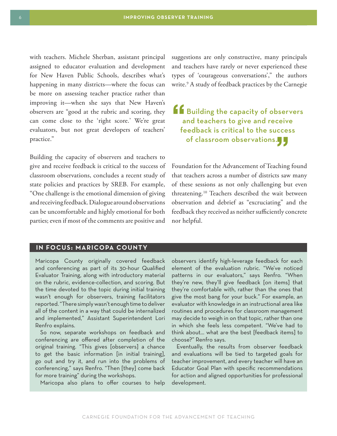with teachers. Michele Sherban, assistant principal assigned to educator evaluation and development for New Haven Public Schools, describes what's happening in many districts—where the focus can be more on assessing teacher practice rather than improving it—when she says that New Haven's observers are "good at the rubric and scoring, they can come close to the 'right score.' We're great evaluators, but not great developers of teachers' practice."

Building the capacity of observers and teachers to give and receive feedback is critical to the success of classroom observations, concludes a recent study of state policies and practices by SREB. For example, "One challenge is the emotional dimension of giving and receiving feedback. Dialogue around observations can be uncomfortable and highly emotional for both parties; even if most of the comments are positive and

suggestions are only constructive, many principals and teachers have rarely or never experienced these types of 'courageous conversations'," the authors write.9 A study of feedback practices by the Carnegie

## ff Building the capacity of observers and teachers to give and receive feedback is critical to the success of classroom observations.<mark>)</mark><br>

Foundation for the Advancement of Teaching found that teachers across a number of districts saw many of these sessions as not only challenging but even threatening.10 Teachers described the wait between observation and debrief as "excruciating" and the feedback they received as neither sufficiently concrete nor helpful.

### **IN FOCUS: MARICOPA COUNTY**

Maricopa County originally covered feedback and conferencing as part of its 30-hour Qualified Evaluator Training, along with introductory material on the rubric, evidence-collection, and scoring. But the time devoted to the topic during initial training wasn't enough for observers, training facilitators reported. "There simply wasn't enough time to deliver all of the content in a way that could be internalized and implemented," Assistant Superintendent Lori Renfro explains.

So now, separate workshops on feedback and conferencing are offered after completion of the original training. "This gives [observers] a chance to get the basic information [in initial training], go out and try it, and run into the problems of conferencing," says Renfro. "Then [they] come back for more training" during the workshops.

Maricopa also plans to offer courses to help

observers identify high-leverage feedback for each element of the evaluation rubric. "We've noticed patterns in our evaluators," says Renfro. "When they're new, they'll give feedback [on items] that they're comfortable with, rather than the ones that give the most bang for your buck." For example, an evaluator with knowledge in an instructional area like routines and procedures for classroom management may decide to weigh in on that topic, rather than one in which she feels less competent. "We've had to think about… what are the best [feedback items] to choose?" Renfro says.

Eventually, the results from observer feedback and evaluations will be tied to targeted goals for teacher improvement, and every teacher will have an Educator Goal Plan with specific recommendations for action and aligned opportunities for professional development.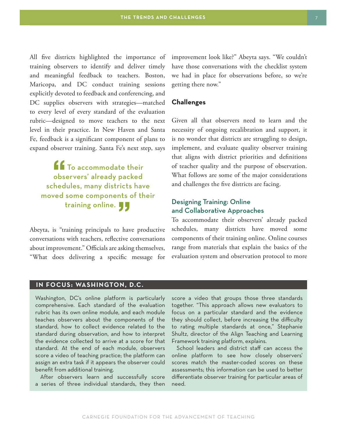All five districts highlighted the importance of training observers to identify and deliver timely and meaningful feedback to teachers. Boston, Maricopa, and DC conduct training sessions explicitly devoted to feedback and conferencing, and DC supplies observers with strategies—matched to every level of every standard of the evaluation rubric—designed to move teachers to the next level in their practice. In New Haven and Santa Fe, feedback is a significant component of plans to expand observer training. Santa Fe's next step, says

**16** To accommodate their observers' already packed schedules, many districts have moved some components of their training online.

Abeyta, is "training principals to have productive conversations with teachers, reflective conversations about improvement." Officials are asking themselves, "What does delivering a specific message for improvement look like?" Abeyta says. "We couldn't have those conversations with the checklist system we had in place for observations before, so we're getting there now."

### **Challenges**

Given all that observers need to learn and the necessity of ongoing recalibration and support, it is no wonder that districts are struggling to design, implement, and evaluate quality observer training that aligns with district priorities and definitions of teacher quality and the purpose of observation. What follows are some of the major considerations and challenges the five districts are facing.

### Designing Training: Online and Collaborative Approaches

To accommodate their observers' already packed schedules, many districts have moved some components of their training online. Online courses range from materials that explain the basics of the evaluation system and observation protocol to more

### **IN FOCUS: WASHINGTON, D.C.**

Washington, DC's online platform is particularly comprehensive. Each standard of the evaluation rubric has its own online module, and each module teaches observers about the components of the standard, how to collect evidence related to the standard during observation, and how to interpret the evidence collected to arrive at a score for that standard. At the end of each module, observers score a video of teaching practice; the platform can assign an extra task if it appears the observer could benefit from additional training.

After observers learn and successfully score a series of three individual standards, they then score a video that groups those three standards together. "This approach allows new evaluators to focus on a particular standard and the evidence they should collect, before increasing the difficulty to rating multiple standards at once," Stephanie Shultz, director of the Align Teaching and Learning Framework training platform, explains.

School leaders and district staff can access the online platform to see how closely observers' scores match the master-coded scores on these assessments; this information can be used to better differentiate observer training for particular areas of need.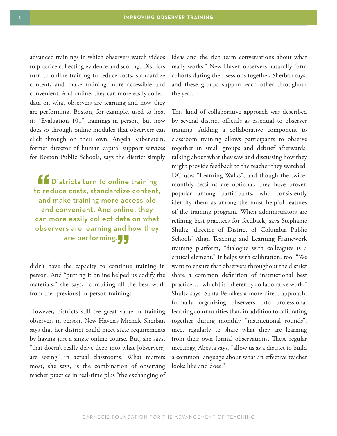advanced trainings in which observers watch videos to practice collecting evidence and scoring. Districts turn to online training to reduce costs, standardize content, and make training more accessible and convenient. And online, they can more easily collect data on what observers are learning and how they are performing. Boston, for example, used to host its "Evaluation 101" trainings in person, but now does so through online modules that observers can click through on their own. Angela Rubenstein, former director of human capital support services for Boston Public Schools, says the district simply

**ff** Districts turn to online training to reduce costs, standardize content, and make training more accessible and convenient. And online, they can more easily collect data on what observers are learning and how they are performing.

didn't have the capacity to continue training in person. And "putting it online helped us codify the materials," she says, "compiling all the best work from the [previous] in-person trainings."

However, districts still see great value in training observers in person. New Haven's Michele Sherban says that her district could meet state requirements by having just a single online course. But, she says, "that doesn't really delve deep into what [observers] are seeing" in actual classrooms. What matters most, she says, is the combination of observing teacher practice in real-time plus "the exchanging of ideas and the rich team conversations about what really works." New Haven observers naturally form cohorts during their sessions together, Sherban says, and these groups support each other throughout the year.

This kind of collaborative approach was described by several district officials as essential to observer training. Adding a collaborative component to classroom training allows participants to observe together in small groups and debrief afterwards, talking about what they saw and discussing how they might provide feedback to the teacher they watched. DC uses "Learning Walks", and though the twicemonthly sessions are optional, they have proven popular among participants, who consistently identify them as among the most helpful features of the training program. When administrators are refining best practices for feedback, says Stephanie Shultz, director of District of Columbia Public Schools' Align Teaching and Learning Framework training platform, "dialogue with colleagues is a critical element." It helps with calibration, too. "We want to ensure that observers throughout the district share a common definition of instructional best practice… [which] is inherently collaborative work," Shultz says. Santa Fe takes a more direct approach, formally organizing observers into professional learning communities that, in addition to calibrating together during monthly "instructional rounds", meet regularly to share what they are learning from their own formal observations. These regular meetings, Abeyta says, "allow us as a district to build a common language about what an effective teacher looks like and does."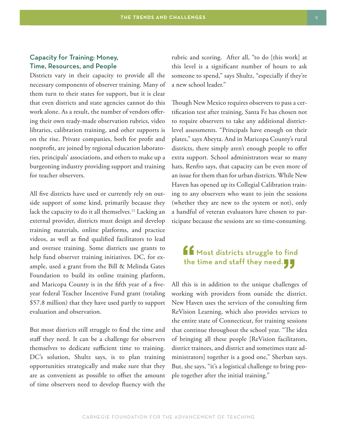### Capacity for Training: Money, Time, Resources, and People

Districts vary in their capacity to provide all the necessary components of observer training. Many of them turn to their states for support, but it is clear that even districts and state agencies cannot do this work alone. As a result, the number of vendors offering their own ready-made observation rubrics, video libraries, calibration training, and other supports is on the rise. Private companies, both for profit and nonprofit, are joined by regional education laboratories, principals' associations, and others to make up a burgeoning industry providing support and training for teacher observers.

All five districts have used or currently rely on outside support of some kind, primarily because they lack the capacity to do it all themselves.<sup>11</sup> Lacking an external provider, districts must design and develop training materials, online platforms, and practice videos, as well as find qualified facilitators to lead and oversee training. Some districts use grants to help fund observer training initiatives. DC, for example, used a grant from the Bill & Melinda Gates Foundation to build its online training platform, and Maricopa County is in the fifth year of a fiveyear federal Teacher Incentive Fund grant (totaling \$57.8 million) that they have used partly to support evaluation and observation.

But most districts still struggle to find the time and staff they need. It can be a challenge for observers themselves to dedicate sufficient time to training. DC's solution, Shultz says, is to plan training opportunities strategically and make sure that they are as convenient as possible to offset the amount of time observers need to develop fluency with the

rubric and scoring. After all, "to do [this work] at this level is a significant number of hours to ask someone to spend," says Shultz, "especially if they're a new school leader."

Though New Mexico requires observers to pass a certification test after training, Santa Fe has chosen not to require observers to take any additional districtlevel assessments. "Principals have enough on their plates," says Abeyta. And in Maricopa County's rural districts, there simply aren't enough people to offer extra support. School administrators wear so many hats, Renfro says, that capacity can be even more of an issue for them than for urban districts. While New Haven has opened up its Collegial Calibration training to any observers who want to join the sessions (whether they are new to the system or not), only a handful of veteran evaluators have chosen to participate because the sessions are so time-consuming.

### $\mathbf{f}$  Most districts struggle to find the time and staff they need. $\blacksquare$

All this is in addition to the unique challenges of working with providers from outside the district. New Haven uses the services of the consulting firm ReVision Learning, which also provides services to the entire state of Connecticut, for training sessions that continue throughout the school year. "The idea of bringing all these people [ReVision facilitators, district trainees, and district and sometimes state administrators] together is a good one," Sherban says. But, she says, "it's a logistical challenge to bring people together after the initial training."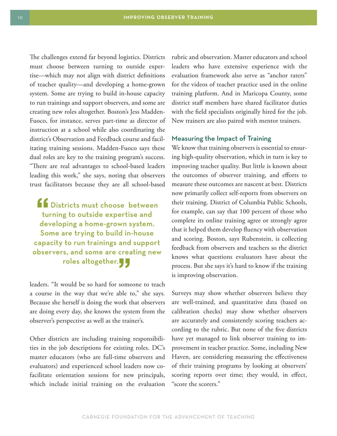The challenges extend far beyond logistics. Districts must choose between turning to outside expertise—which may not align with district definitions of teacher quality—and developing a home-grown system. Some are trying to build in-house capacity to run trainings and support observers, and some are creating new roles altogether. Boston's Jess Madden-Fuoco, for instance, serves part-time as director of instruction at a school while also coordinating the district's Observation and Feedback course and facilitating training sessions. Madden-Fuoco says these dual roles are key to the training program's success. "There are real advantages to school-based leaders leading this work," she says, noting that observers trust facilitators because they are all school-based

**find** Districts must choose between turning to outside expertise and developing a home-grown system. Some are trying to build in-house capacity to run trainings and support observers, and some are creating new roles altogether.

leaders. "It would be so hard for someone to teach a course in the way that we're able to," she says. Because she herself is doing the work that observers are doing every day, she knows the system from the observer's perspective as well as the trainer's.

Other districts are including training responsibilities in the job descriptions for existing roles. DC's master educators (who are full-time observers and evaluators) and experienced school leaders now cofacilitate orientation sessions for new principals, which include initial training on the evaluation rubric and observation. Master educators and school leaders who have extensive experience with the evaluation framework also serve as "anchor raters" for the videos of teacher practice used in the online training platform. And in Maricopa County, some district staff members have shared facilitator duties with the field specialists originally hired for the job. New trainers are also paired with mentor trainers.

### Measuring the Impact of Training

We know that training observers is essential to ensuring high-quality observation, which in turn is key to improving teacher quality. But little is known about the outcomes of observer training, and efforts to measure these outcomes are nascent at best. Districts now primarily collect self-reports from observers on their training. District of Columbia Public Schools, for example, can say that 100 percent of those who complete its online training agree or strongly agree that it helped them develop fluency with observation and scoring. Boston, says Rubenstein, is collecting feedback from observers and teachers so the district knows what questions evaluators have about the process. But she says it's hard to know if the training is improving observation.

Surveys may show whether observers believe they are well-trained, and quantitative data (based on calibration checks) may show whether observers are accurately and consistently scoring teachers according to the rubric. But none of the five districts have yet managed to link observer training to improvement in teacher practice. Some, including New Haven, are considering measuring the effectiveness of their training programs by looking at observers' scoring reports over time; they would, in effect, "score the scorers."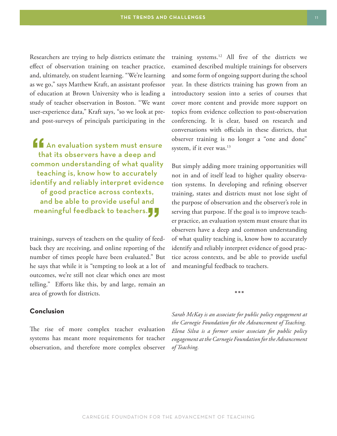Researchers are trying to help districts estimate the effect of observation training on teacher practice, and, ultimately, on student learning. "We're learning as we go," says Matthew Kraft, an assistant professor of education at Brown University who is leading a study of teacher observation in Boston. "We want user-experience data," Kraft says, "so we look at preand post-surveys of principals participating in the

If An evaluation system must ensure that its observers have a deep and common understanding of what quality teaching is, know how to accurately identify and reliably interpret evidence of good practice across contexts, and be able to provide useful and meaningful feedback to teachers.

trainings, surveys of teachers on the quality of feedback they are receiving, and online reporting of the number of times people have been evaluated." But he says that while it is "tempting to look at a lot of outcomes, we're still not clear which ones are most telling." Efforts like this, by and large, remain an area of growth for districts.

### **Conclusion**

The rise of more complex teacher evaluation systems has meant more requirements for teacher observation, and therefore more complex observer training systems.12 All five of the districts we examined described multiple trainings for observers and some form of ongoing support during the school year. In these districts training has grown from an introductory session into a series of courses that cover more content and provide more support on topics from evidence collection to post-observation conferencing. It is clear, based on research and conversations with officials in these districts, that observer training is no longer a "one and done" system, if it ever was.<sup>13</sup>

But simply adding more training opportunities will not in and of itself lead to higher quality observation systems. In developing and refining observer training, states and districts must not lose sight of the purpose of observation and the observer's role in serving that purpose. If the goal is to improve teacher practice, an evaluation system must ensure that its observers have a deep and common understanding of what quality teaching is, know how to accurately identify and reliably interpret evidence of good practice across contexts, and be able to provide useful and meaningful feedback to teachers.

JJJ

*Sarah McKay is an associate for public policy engagement at the Carnegie Foundation for the Advancement of Teaching. Elena Silva is a former senior associate for public policy engagement at the Carnegie Foundation for the Advancement of Teaching.*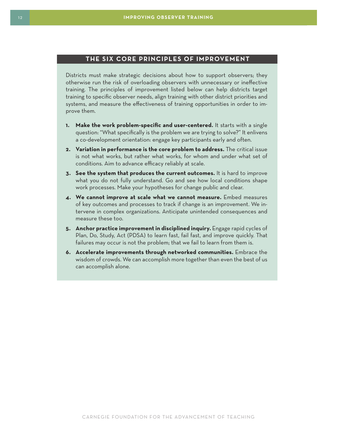### **THE SIX CORE PRINCIPLES OF IMPROVEMENT**

Districts must make strategic decisions about how to support observers; they otherwise run the risk of overloading observers with unnecessary or ineffective training. The principles of improvement listed below can help districts target training to specific observer needs, align training with other district priorities and systems, and measure the effectiveness of training opportunities in order to improve them.

- **1. Make the work problem-specific and user-centered.** It starts with a single question: "What specifically is the problem we are trying to solve?" It enlivens a co-development orientation: engage key participants early and often.
- **2. Variation in performance is the core problem to address.** The critical issue is not what works, but rather what works, for whom and under what set of conditions. Aim to advance efficacy reliably at scale.
- **3. See the system that produces the current outcomes.** It is hard to improve what you do not fully understand. Go and see how local conditions shape work processes. Make your hypotheses for change public and clear.
- **4. We cannot improve at scale what we cannot measure.** Embed measures of key outcomes and processes to track if change is an improvement. We intervene in complex organizations. Anticipate unintended consequences and measure these too.
- **5. Anchor practice improvement in disciplined inquiry.** Engage rapid cycles of Plan, Do, Study, Act (PDSA) to learn fast, fail fast, and improve quickly. That failures may occur is not the problem; that we fail to learn from them is.
- **6. Accelerate improvements through networked communities.** Embrace the wisdom of crowds. We can accomplish more together than even the best of us can accomplish alone.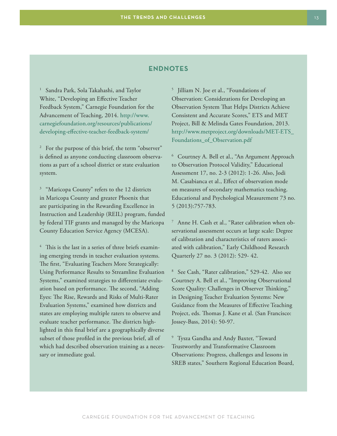### **ENDNOTES**

<sup>1</sup> Sandra Park, Sola Takahashi, and Taylor White, "Developing an Effective Teacher Feedback System," Carnegie Foundation for the Advancement of Teaching, 2014. [http://www.](http://www.carnegiefoundation.org/resources/publications/developing-effective-teacher-feedback-system/) [carnegiefoundation.org/resources/publications/](http://www.carnegiefoundation.org/resources/publications/developing-effective-teacher-feedback-system/) [developing-effective-teacher-feedback-system/](http://www.carnegiefoundation.org/resources/publications/developing-effective-teacher-feedback-system/) 

<sup>2</sup> For the purpose of this brief, the term "observer" is defined as anyone conducting classroom observations as part of a school district or state evaluation system.

<sup>3</sup> "Maricopa County" refers to the 12 districts in Maricopa County and greater Phoenix that are participating in the Rewarding Excellence in Instruction and Leadership (REIL) program, funded by federal TIF grants and managed by the Maricopa County Education Service Agency (MCESA).

<sup>4</sup> This is the last in a series of three briefs examining emerging trends in teacher evaluation systems. The first, ["Evaluating Teachers More Strategically:](http://www.carnegiefoundation.org/resources/publications/evaluating-teachers-strategically-using-performance-results-streamline-evaluation-systems/)  [Using Performance Results to Streamline Evaluation](http://www.carnegiefoundation.org/resources/publications/evaluating-teachers-strategically-using-performance-results-streamline-evaluation-systems/)  [Systems,"](http://www.carnegiefoundation.org/resources/publications/evaluating-teachers-strategically-using-performance-results-streamline-evaluation-systems/) examined strategies to differentiate evaluation based on performance. The second, ["Adding](http://www.carnegiefoundation.org/resources/publications/adding-eyes-rise-rewards-risks-multi-rater-teacher-observation-systems/)  [Eyes: The Rise, Rewards and Risks of Multi-Rater](http://www.carnegiefoundation.org/resources/publications/adding-eyes-rise-rewards-risks-multi-rater-teacher-observation-systems/)  [Evaluation Systems,"](http://www.carnegiefoundation.org/resources/publications/adding-eyes-rise-rewards-risks-multi-rater-teacher-observation-systems/) examined how districts and states are employing multiple raters to observe and evaluate teacher performance. The districts highlighted in this final brief are a geographically diverse subset of those profiled in the previous brief, all of which had described observation training as a necessary or immediate goal.

5 Jilliam N. Joe et al., "Foundations of Observation: Considerations for Developing an Observation System That Helps Districts Achieve Consistent and Accurate Scores," ETS and MET Project, Bill & Melinda Gates Foundation, 2013. [http://www.metproject.org/downloads/MET-ETS\\_](http://www.metproject.org/downloads/MET-ETS_Foundations_of_Observation.pdf) [Foundations\\_of\\_Observation.pdf](http://www.metproject.org/downloads/MET-ETS_Foundations_of_Observation.pdf)

6 Courtney A. Bell et al., "An Argument Approach to Observation Protocol Validity," Educational Assessment 17, no. 2-3 (2012): 1-26. Also, Jodi M. Casabianca et al., Effect of observation mode on measures of secondary mathematics teaching. Educational and Psychological Measurement 73 no. 5 (2013):757-783.

7 Anne H. Cash et al., "Rater calibration when observational assessment occurs at large scale: Degree of calibration and characteristics of raters associated with calibration," Early Childhood Research Quarterly 27 no. 3 (2012): 529- 42.

8 See Cash, "Rater calibration," 529-42. Also see Courtney A. Bell et al., "Improving Observational Score Quality: Challenges in Observer Thinking," in Designing Teacher Evaluation Systems: New Guidance from the Measures of Effective Teaching Project, eds. Thomas J. Kane et al. (San Francisco: Jossey-Bass, 2014): 50-97.

9 Tysza Gandha and Andy Baxter, "Toward Trustworthy and Transformative Classroom Observations: Progress, challenges and lessons in SREB states," Southern Regional Education Board,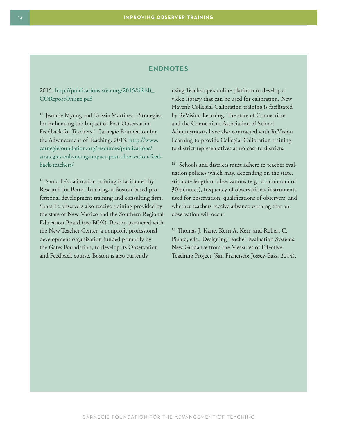### **ENDNOTES**

### 2015. [http://publications.sreb.org/2015/SREB\\_](http://publications.sreb.org/2015/SREB_COReportOnline.pdf) [COReportOnline.pdf](http://publications.sreb.org/2015/SREB_COReportOnline.pdf)

<sup>10</sup> Jeannie Myung and Krissia Martinez, "Strategies for Enhancing the Impact of Post-Observation Feedback for Teachers," Carnegie Foundation for the Advancement of Teaching, 2013. [http://www.](http://www.carnegiefoundation.org/resources/publications/strategies-enhancing-impact-post-observation-feedback-teachers/) [carnegiefoundation.org/resources/publications/](http://www.carnegiefoundation.org/resources/publications/strategies-enhancing-impact-post-observation-feedback-teachers/) [strategies-enhancing-impact-post-observation-feed](http://www.carnegiefoundation.org/resources/publications/strategies-enhancing-impact-post-observation-feedback-teachers/)[back-teachers/](http://www.carnegiefoundation.org/resources/publications/strategies-enhancing-impact-post-observation-feedback-teachers/)

<sup>11</sup> Santa Fe's calibration training is facilitated by Research for Better Teaching, a Boston-based professional development training and consulting firm. Santa Fe observers also receive training provided by the state of New Mexico and the Southern Regional Education Board (see BOX). Boston partnered with the New Teacher Center, a nonprofit professional development organization funded primarily by the Gates Foundation, to develop its Observation and Feedback course. Boston is also currently

using Teachscape's online platform to develop a video library that can be used for calibration. New Haven's Collegial Calibration training is facilitated by ReVision Learning. The state of Connecticut and the Connecticut Association of School Administrators have also contracted with ReVision Learning to provide Collegial Calibration training to district representatives at no cost to districts.

<sup>12</sup> Schools and districts must adhere to teacher evaluation policies which may, depending on the state, stipulate length of observations (e.g., a minimum of 30 minutes), frequency of observations, instruments used for observation, qualifications of observers, and whether teachers receive advance warning that an observation will occur

<sup>13</sup> Thomas J. Kane, Kerri A. Kerr, and Robert C. Pianta, eds., Designing Teacher Evaluation Systems: New Guidance from the Measures of Effective Teaching Project (San Francisco: Jossey-Bass, 2014).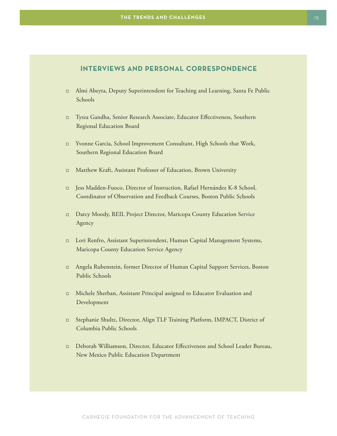### **INTERVIEWS AND PERSONAL CORRESPONDENCE**

- j Almi Abeyta, Deputy Superintendent for Teaching and Learning, Santa Fe Public Schools
- j Tysza Gandha, Senior Research Associate, Educator Effectiveness, Southern Regional Education Board
- □ Yvonne Garcia, School Improvement Consultant, High Schools that Work, Southern Regional Education Board
- j Matthew Kraft, Assistant Professor of Education, Brown University
- □ Jess Madden-Fuoco, Director of Instruction, Rafael Hernández K-8 School, Coordinator of Observation and Feedback Courses, Boston Public Schools
- j Darcy Moody, REIL Project Director, Maricopa County Education Service Agency
- j Lori Renfro, Assistant Superintendent, Human Capital Management Systems, Maricopa County Education Service Agency
- j Angela Rubenstein, former Director of Human Capital Support Services, Boston Public Schools
- j Michele Sherban, Assistant Principal assigned to Educator Evaluation and Development
- j Stephanie Shultz, Director, Align TLF Training Platform, IMPACT, District of Columbia Public Schools
- j Deborah Williamson, Director, Educator Effectiveness and School Leader Bureau, New Mexico Public Education Department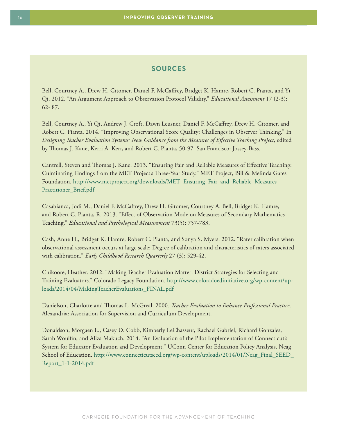### **SOURCES**

Bell, Courtney A., Drew H. Gitomer, Daniel F. McCaffrey, Bridget K. Hamre, Robert C. Pianta, and Yi Qi. 2012. "An Argument Approach to Observation Protocol Validity." *Educational Assessment* 17 (2-3): 62- 87.

Bell, Courtney A., Yi Qi, Andrew J. Croft, Dawn Leusner, Daniel F. McCaffrey, Drew H. Gitomer, and Robert C. Pianta. 2014. "Improving Observational Score Quality: Challenges in Observer Thinking." In *Designing Teacher Evaluation Systems: New Guidance from the Measures of Effective Teaching Project*, edited by Thomas J. Kane, Kerri A. Kerr, and Robert C. Pianta, 50-97. San Francisco: Jossey-Bass.

Cantrell, Steven and Thomas J. Kane. 2013. "Ensuring Fair and Reliable Measures of Effective Teaching: Culminating Findings from the MET Project's Three-Year Study." MET Project, Bill & Melinda Gates Foundation. [http://www.metproject.org/downloads/MET\\_Ensuring\\_Fair\\_and\\_Reliable\\_Measures\\_](http://www.metproject.org/downloads/MET_Ensuring_Fair_and_Reliable_Measures_Practitioner_Brief.pdf) [Practitioner\\_Brief.pdf](http://www.metproject.org/downloads/MET_Ensuring_Fair_and_Reliable_Measures_Practitioner_Brief.pdf)

Casabianca, Jodi M., Daniel F. McCaffrey, Drew H. Gitomer, Courtney A. Bell, Bridget K. Hamre, and Robert C. Pianta, R. 2013. "Effect of Observation Mode on Measures of Secondary Mathematics Teaching." *Educational and Psychological Measurement* 73(5): 757-783.

Cash, Anne H., Bridget K. Hamre, Robert C. Pianta, and Sonya S. Myers. 2012. "Rater calibration when observational assessment occurs at large scale: Degree of calibration and characteristics of raters associated with calibration." *Early Childhood Research Quarterly* 27 (3): 529-42.

Chikoore, Heather. 2012. "Making Teacher Evaluation Matter: District Strategies for Selecting and Training Evaluators." Colorado Legacy Foundation. [http://www.coloradoedinitiative.org/wp-content/up](http://www.coloradoedinitiative.org/wp-content/uploads/2014/04/MakingTeacherEvaluations_FINAL.pdf)[loads/2014/04/MakingTeacherEvaluations\\_FINAL.pdf](http://www.coloradoedinitiative.org/wp-content/uploads/2014/04/MakingTeacherEvaluations_FINAL.pdf)

Danielson, Charlotte and Thomas L. McGreal. 2000. *Teacher Evaluation to Enhance Professional Practice*. Alexandria: Association for Supervision and Curriculum Development.

Donaldson, Morgaen L., Casey D. Cobb, Kimberly LeChasseur, Rachael Gabriel, Richard Gonzales, Sarah Woulfin, and Aliza Makuch. 2014. "An Evaluation of the Pilot Implementation of Connecticut's System for Educator Evaluation and Development." UConn Center for Education Policy Analysis, Neag School of Education. [http://www.connecticutseed.org/wp-content/uploads/2014/01/Neag\\_Final\\_SEED\\_](http://www.connecticutseed.org/wp-content/uploads/2014/01/Neag_Final_SEED_Report_1-1-2014.pdf) [Report\\_1-1-2014.pdf](http://www.connecticutseed.org/wp-content/uploads/2014/01/Neag_Final_SEED_Report_1-1-2014.pdf)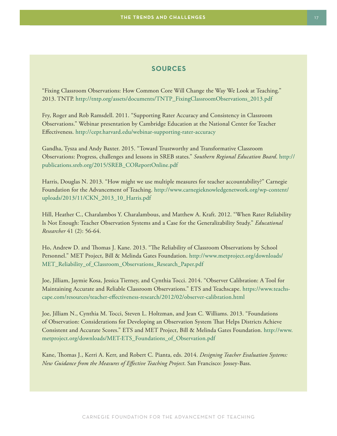### **SOURCES**

"Fixing Classroom Observations: How Common Core Will Change the Way We Look at Teaching." 2013. TNTP. [http://tntp.org/assets/documents/TNTP\\_FixingClassroomObservations\\_2013.pdf](http://tntp.org/assets/documents/TNTP_FixingClassroomObservations_2013.pdf)

Fry, Roger and Rob Ramsdell. 2011. "Supporting Rater Accuracy and Consistency in Classroom Observations." Webinar presentation by Cambridge Education at the National Center for Teacher Effectiveness.<http://cepr.harvard.edu/webinar-supporting-rater-accuracy>

Gandha, Tysza and Andy Baxter. 2015. "Toward Trustworthy and Transformative Classroom Observations: Progress, challenges and lessons in SREB states." *Southern Regional Education Board*. [http://](http://publications.sreb.org/2015/SREB_COReportOnline.pdf) [publications.sreb.org/2015/SREB\\_COReportOnline.pdf](http://publications.sreb.org/2015/SREB_COReportOnline.pdf)

Harris, Douglas N. 2013. "How might we use multiple measures for teacher accountability?" Carnegie Foundation for the Advancement of Teaching. [http://www.carnegieknowledgenetwork.org/wp-content/](http://www.carnegieknowledgenetwork.org/wp-content/uploads/2013/11/CKN_2013_10_Harris.pdf) [uploads/2013/11/CKN\\_2013\\_10\\_Harris.pdf](http://www.carnegieknowledgenetwork.org/wp-content/uploads/2013/11/CKN_2013_10_Harris.pdf)

Hill, Heather C., Charalambos Y. Charalambous, and Matthew A. Kraft. 2012. "When Rater Reliability Is Not Enough: Teacher Observation Systems and a Case for the Generalizability Study." *Educational Researcher* 41 (2): 56-64.

Ho, Andrew D. and Thomas J. Kane. 2013. "The Reliability of Classroom Observations by School Personnel." MET Project, Bill & Melinda Gates Foundation. [http://www.metproject.org/downloads/](http://www.metproject.org/downloads/MET_Reliability_of_Classroom_Observations_Research_Paper.pdf) [MET\\_Reliability\\_of\\_Classroom\\_Observations\\_Research\\_Paper.pdf](http://www.metproject.org/downloads/MET_Reliability_of_Classroom_Observations_Research_Paper.pdf)

Joe, Jilliam, Jaymie Kosa, Jessica Tierney, and Cynthia Tocci. 2014. "Observer Calibration: A Tool for Maintaining Accurate and Reliable Classroom Observations." ETS and Teachscape. [https://www.teachs](https://www.teachscape.com/resources/teacher-effectiveness-research/2012/02/observer-calibration.html)[cape.com/resources/teacher-effectiveness-research/2012/02/observer-calibration.html](https://www.teachscape.com/resources/teacher-effectiveness-research/2012/02/observer-calibration.html)

Joe, Jilliam N., Cynthia M. Tocci, Steven L. Holtzman, and Jean C. Williams. 2013. "Foundations of Observation: Considerations for Developing an Observation System That Helps Districts Achieve Consistent and Accurate Scores." ETS and MET Project, Bill & Melinda Gates Foundation. [http://www.](http://www.metproject.org/downloads/MET-ETS_Foundations_of_Observation.pdf) [metproject.org/downloads/MET-ETS\\_Foundations\\_of\\_Observation.pdf](http://www.metproject.org/downloads/MET-ETS_Foundations_of_Observation.pdf)

Kane, Thomas J., Kerri A. Kerr, and Robert C. Pianta, eds. 2014. *Designing Teacher Evaluation Systems: New Guidance from the Measures of Effective Teaching Project*. San Francisco: Jossey-Bass.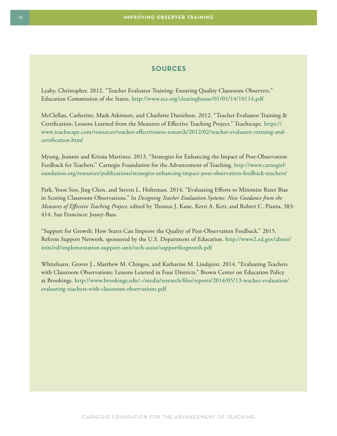### **SOURCES**

Leahy, Christopher. 2012. "Teacher Evaluator Training: Ensuring Quality Classroom Observers." Education Commission of the States.<http://www.ecs.org/clearinghouse/01/01/14/10114.pdf>

McClellan, Catherine, Mark Atkinson, and Charlotte Danielson. 2012. "Teacher Evaluator Training & Certification: Lessons Learned from the Measures of Effective Teaching Project." Teachscape. [https://](https://www.teachscape.com/resources/teacher-effectiveness-research/2012/02/teacher-evaluator-training-and-certification.html) [www.teachscape.com/resources/teacher-effectiveness-research/2012/02/teacher-evaluator-training-and](https://www.teachscape.com/resources/teacher-effectiveness-research/2012/02/teacher-evaluator-training-and-certification.html)[certification.html](https://www.teachscape.com/resources/teacher-effectiveness-research/2012/02/teacher-evaluator-training-and-certification.html)

Myung, Jeannie and Krissia Martinez. 2013. "Strategies for Enhancing the Impact of Post-Observation Feedback for Teachers." Carnegie Foundation for the Advancement of Teaching. [http://www.carnegief](http://www.carnegiefoundation.org/resources/publications/strategies-enhancing-impact-post-observation-feedback-teachers/)[oundation.org/resources/publications/strategies-enhancing-impact-post-observation-feedback-teachers/](http://www.carnegiefoundation.org/resources/publications/strategies-enhancing-impact-post-observation-feedback-teachers/)

Park, Yoon Soo, Jing Chen, and Steven L. Holtzman. 2014. "Evaluating Efforts to Minimize Rater Bias in Scoring Classroom Observations." In *Designing Teacher Evaluation Systems: New Guidance from the Measures of Effective Teaching Project*, edited by Thomas J. Kane, Kerri A. Kerr, and Robert C. Pianta, 383- 414. San Francisco: Jossey-Bass.

"Support for Growth: How States Can Improve the Quality of Post-Observation Feedback." 2015. Reform Support Network, sponsored by the U.S. Department of Education. [http://www2.ed.gov/about/](http://www2.ed.gov/about/inits/ed/implementation-support-unit/tech-assist/supportforgrowth.pdf) [inits/ed/implementation-support-unit/tech-assist/supportforgrowth.pdf](http://www2.ed.gov/about/inits/ed/implementation-support-unit/tech-assist/supportforgrowth.pdf)

Whitehurst, Grover J., Matthew M. Chingos, and Katharine M. Lindquist. 2014. "Evaluating Teachers with Classroom Observations: Lessons Learned in Four Districts." Brown Center on Education Policy at Brookings. [http://www.brookings.edu/~/media/research/files/reports/2014/05/13-teacher-evaluation/](http://www.brookings.edu/~/media/research/files/reports/2014/05/13-teacher-evaluation/evaluating-teachers-with-classroom-observations.pdf) [evaluating-teachers-with-classroom-observations.pdf](http://www.brookings.edu/~/media/research/files/reports/2014/05/13-teacher-evaluation/evaluating-teachers-with-classroom-observations.pdf)